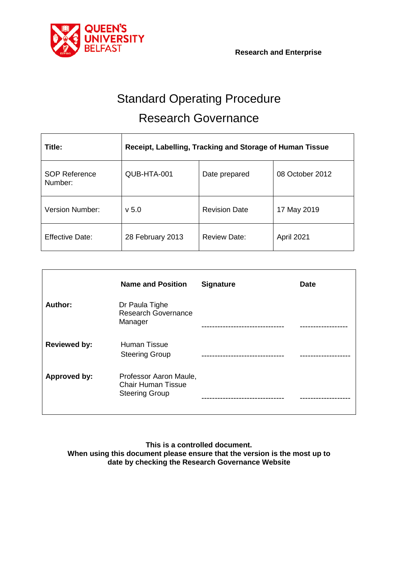

# Standard Operating Procedure Research Governance

| Title:                          | Receipt, Labelling, Tracking and Storage of Human Tissue |                      |                 |
|---------------------------------|----------------------------------------------------------|----------------------|-----------------|
| <b>SOP Reference</b><br>Number: | QUB-HTA-001                                              | Date prepared        | 08 October 2012 |
| Version Number:                 | v <sub>5.0</sub>                                         | <b>Revision Date</b> | 17 May 2019     |
| <b>Effective Date:</b>          | 28 February 2013                                         | <b>Review Date:</b>  | April 2021      |

|                     | <b>Name and Position</b>                                                     | <b>Signature</b> | <b>Date</b> |
|---------------------|------------------------------------------------------------------------------|------------------|-------------|
| Author:             | Dr Paula Tighe<br><b>Research Governance</b><br>Manager                      |                  |             |
| <b>Reviewed by:</b> | Human Tissue<br><b>Steering Group</b>                                        |                  |             |
| Approved by:        | Professor Aaron Maule,<br><b>Chair Human Tissue</b><br><b>Steering Group</b> |                  |             |

**This is a controlled document. When using this document please ensure that the version is the most up to date by checking the Research Governance Website**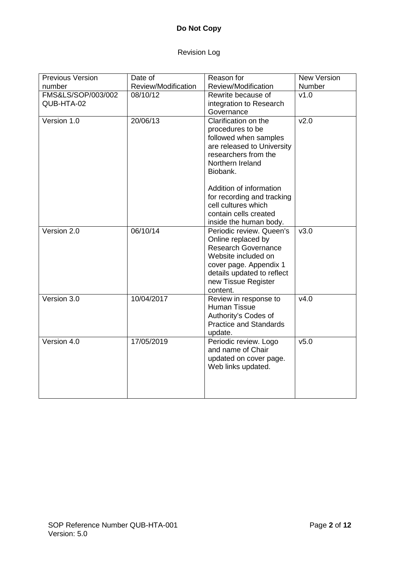# **Do Not Copy**

# Revision Log

| <b>Previous Version</b>          | Date of             | Reason for                                                                                                                                                                                     | <b>New Version</b> |
|----------------------------------|---------------------|------------------------------------------------------------------------------------------------------------------------------------------------------------------------------------------------|--------------------|
| number                           | Review/Modification | Review/Modification                                                                                                                                                                            | Number             |
| FMS&LS/SOP/003/002<br>QUB-HTA-02 | 08/10/12            | Rewrite because of<br>integration to Research<br>Governance                                                                                                                                    | v1.0               |
| Version 1.0                      | 20/06/13            | Clarification on the<br>procedures to be<br>followed when samples<br>are released to University<br>researchers from the<br>Northern Ireland<br>Biobank.                                        | v2.0               |
|                                  |                     | Addition of information<br>for recording and tracking<br>cell cultures which<br>contain cells created<br>inside the human body.                                                                |                    |
| Version 2.0                      | 06/10/14            | Periodic review. Queen's<br>Online replaced by<br><b>Research Governance</b><br>Website included on<br>cover page. Appendix 1<br>details updated to reflect<br>new Tissue Register<br>content. | v3.0               |
| Version 3.0                      | 10/04/2017          | Review in response to<br><b>Human Tissue</b><br>Authority's Codes of<br><b>Practice and Standards</b><br>update.                                                                               | v4.0               |
| Version 4.0                      | 17/05/2019          | Periodic review. Logo<br>and name of Chair<br>updated on cover page.<br>Web links updated.                                                                                                     | v5.0               |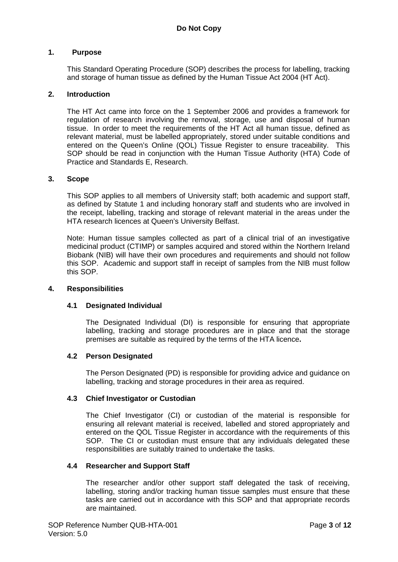#### **1. Purpose**

This Standard Operating Procedure (SOP) describes the process for labelling, tracking and storage of human tissue as defined by the Human Tissue Act 2004 (HT Act).

#### **2. Introduction**

The HT Act came into force on the 1 September 2006 and provides a framework for regulation of research involving the removal, storage, use and disposal of human tissue. In order to meet the requirements of the HT Act all human tissue, defined as relevant material, must be labelled appropriately, stored under suitable conditions and entered on the Queen's Online (QOL) Tissue Register to ensure traceability. This SOP should be read in conjunction with the Human Tissue Authority (HTA) Code of Practice and Standards E, Research.

#### **3. Scope**

This SOP applies to all members of University staff; both academic and support staff, as defined by Statute 1 and including honorary staff and students who are involved in the receipt, labelling, tracking and storage of relevant material in the areas under the HTA research licences at Queen's University Belfast.

Note: Human tissue samples collected as part of a clinical trial of an investigative medicinal product (CTIMP) or samples acquired and stored within the Northern Ireland Biobank (NIB) will have their own procedures and requirements and should not follow this SOP. Academic and support staff in receipt of samples from the NIB must follow this SOP.

#### **4. Responsibilities**

## **4.1 Designated Individual**

The Designated Individual (DI) is responsible for ensuring that appropriate labelling, tracking and storage procedures are in place and that the storage premises are suitable as required by the terms of the HTA licence**.**

## **4.2 Person Designated**

The Person Designated (PD) is responsible for providing advice and guidance on labelling, tracking and storage procedures in their area as required.

#### **4.3 Chief Investigator or Custodian**

The Chief Investigator (CI) or custodian of the material is responsible for ensuring all relevant material is received, labelled and stored appropriately and entered on the QOL Tissue Register in accordance with the requirements of this SOP. The CI or custodian must ensure that any individuals delegated these responsibilities are suitably trained to undertake the tasks.

#### **4.4 Researcher and Support Staff**

The researcher and/or other support staff delegated the task of receiving, labelling, storing and/or tracking human tissue samples must ensure that these tasks are carried out in accordance with this SOP and that appropriate records are maintained.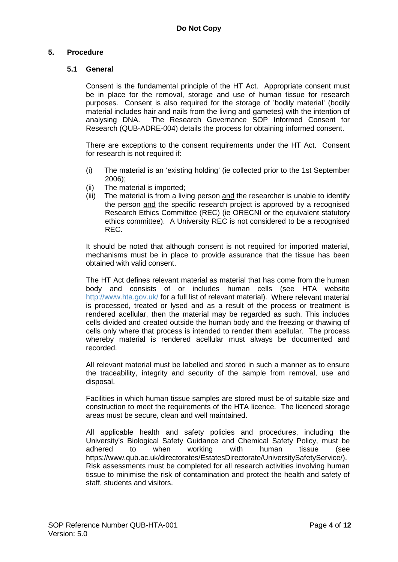# **5. Procedure**

# **5.1 General**

Consent is the fundamental principle of the HT Act. Appropriate consent must be in place for the removal, storage and use of human tissue for research purposes. Consent is also required for the storage of 'bodily material' (bodily material includes hair and nails from the living and gametes) with the intention of analysing DNA. The Research Governance SOP Informed Consent for Research (QUB-ADRE-004) details the process for obtaining informed consent.

There are exceptions to the consent requirements under the HT Act. Consent for research is not required if:

- (i) The material is an 'existing holding' (ie collected prior to the 1st September 2006);
- (ii) The material is imported;
- (iii) The material is from a living person and the researcher is unable to identify the person and the specific research project is approved by a recognised Research Ethics Committee (REC) (ie ORECNI or the equivalent statutory ethics committee). A University REC is not considered to be a recognised REC.

It should be noted that although consent is not required for imported material, mechanisms must be in place to provide assurance that the tissue has been obtained with valid consent.

The HT Act defines relevant material as material that has come from the human body and consists of or includes human cells (see HTA website <http://www.hta.gov.uk/> for a full list of relevant material). Where relevant material is processed, treated or lysed and as a result of the process or treatment is rendered acellular, then the material may be regarded as such. This includes cells divided and created outside the human body and the freezing or thawing of cells only where that process is intended to render them acellular. The process whereby material is rendered acellular must always be documented and recorded.

All relevant material must be labelled and stored in such a manner as to ensure the traceability, integrity and security of the sample from removal, use and disposal.

Facilities in which human tissue samples are stored must be of suitable size and construction to meet the requirements of the HTA licence. The licenced storage areas must be secure, clean and well maintained.

All applicable health and safety policies and procedures, including the University's Biological Safety Guidance and Chemical Safety Policy, must be adhered to when working with human tissue (see adhered to when working with human tissue (see https://www.qub.ac.uk/directorates/EstatesDirectorate/UniversitySafetyService/). Risk assessments must be completed for all research activities involving human tissue to minimise the risk of contamination and protect the health and safety of staff, students and visitors.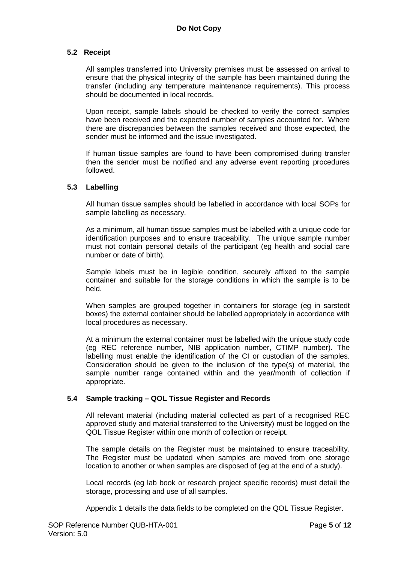# **5.2 Receipt**

All samples transferred into University premises must be assessed on arrival to ensure that the physical integrity of the sample has been maintained during the transfer (including any temperature maintenance requirements). This process should be documented in local records.

Upon receipt, sample labels should be checked to verify the correct samples have been received and the expected number of samples accounted for. Where there are discrepancies between the samples received and those expected, the sender must be informed and the issue investigated.

If human tissue samples are found to have been compromised during transfer then the sender must be notified and any adverse event reporting procedures followed.

## **5.3 Labelling**

All human tissue samples should be labelled in accordance with local SOPs for sample labelling as necessary.

As a minimum, all human tissue samples must be labelled with a unique code for identification purposes and to ensure traceability. The unique sample number must not contain personal details of the participant (eg health and social care number or date of birth).

Sample labels must be in legible condition, securely affixed to the sample container and suitable for the storage conditions in which the sample is to be held.

When samples are grouped together in containers for storage (eg in sarstedt boxes) the external container should be labelled appropriately in accordance with local procedures as necessary.

At a minimum the external container must be labelled with the unique study code (eg REC reference number, NIB application number, CTIMP number). The labelling must enable the identification of the CI or custodian of the samples. Consideration should be given to the inclusion of the type(s) of material, the sample number range contained within and the year/month of collection if appropriate.

## **5.4 Sample tracking – QOL Tissue Register and Records**

All relevant material (including material collected as part of a recognised REC approved study and material transferred to the University) must be logged on the QOL Tissue Register within one month of collection or receipt.

The sample details on the Register must be maintained to ensure traceability. The Register must be updated when samples are moved from one storage location to another or when samples are disposed of (eg at the end of a study).

Local records (eg lab book or research project specific records) must detail the storage, processing and use of all samples.

Appendix 1 details the data fields to be completed on the QOL Tissue Register.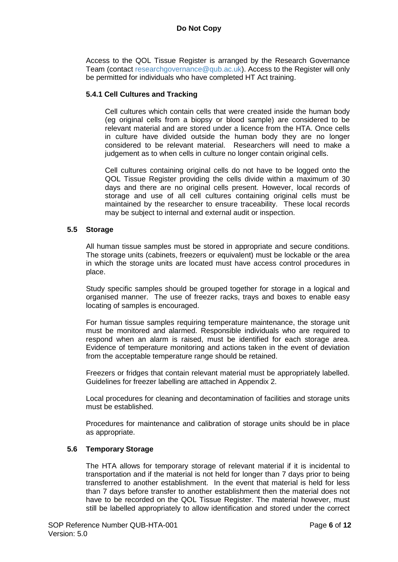Access to the QOL Tissue Register is arranged by the Research Governance Team (contact [researchgovernance@qub.ac.uk\)](mailto:researchgovernance@qub.ac.uk). Access to the Register will only be permitted for individuals who have completed HT Act training.

#### **5.4.1 Cell Cultures and Tracking**

Cell cultures which contain cells that were created inside the human body (eg original cells from a biopsy or blood sample) are considered to be relevant material and are stored under a licence from the HTA. Once cells in culture have divided outside the human body they are no longer considered to be relevant material. Researchers will need to make a judgement as to when cells in culture no longer contain original cells.

Cell cultures containing original cells do not have to be logged onto the QOL Tissue Register providing the cells divide within a maximum of 30 days and there are no original cells present. However, local records of storage and use of all cell cultures containing original cells must be maintained by the researcher to ensure traceability. These local records may be subject to internal and external audit or inspection.

## **5.5 Storage**

All human tissue samples must be stored in appropriate and secure conditions. The storage units (cabinets, freezers or equivalent) must be lockable or the area in which the storage units are located must have access control procedures in place.

Study specific samples should be grouped together for storage in a logical and organised manner. The use of freezer racks, trays and boxes to enable easy locating of samples is encouraged.

For human tissue samples requiring temperature maintenance, the storage unit must be monitored and alarmed. Responsible individuals who are required to respond when an alarm is raised, must be identified for each storage area. Evidence of temperature monitoring and actions taken in the event of deviation from the acceptable temperature range should be retained.

Freezers or fridges that contain relevant material must be appropriately labelled. Guidelines for freezer labelling are attached in Appendix 2.

Local procedures for cleaning and decontamination of facilities and storage units must be established.

Procedures for maintenance and calibration of storage units should be in place as appropriate.

#### **5.6 Temporary Storage**

The HTA allows for temporary storage of relevant material if it is incidental to transportation and if the material is not held for longer than 7 days prior to being transferred to another establishment. In the event that material is held for less than 7 days before transfer to another establishment then the material does not have to be recorded on the QOL Tissue Register. The material however, must still be labelled appropriately to allow identification and stored under the correct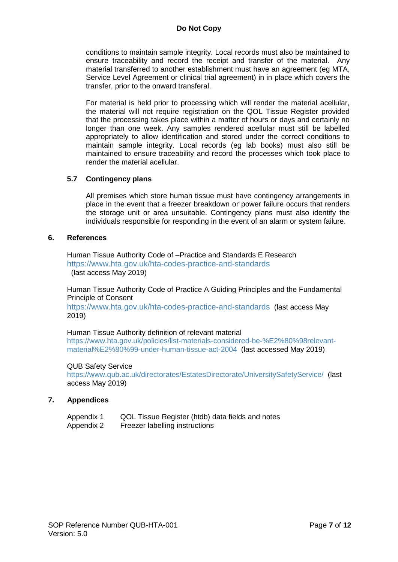conditions to maintain sample integrity. Local records must also be maintained to ensure traceability and record the receipt and transfer of the material. Any material transferred to another establishment must have an agreement (eg MTA, Service Level Agreement or clinical trial agreement) in in place which covers the transfer, prior to the onward transferal.

For material is held prior to processing which will render the material acellular, the material will not require registration on the QOL Tissue Register provided that the processing takes place within a matter of hours or days and certainly no longer than one week. Any samples rendered acellular must still be labelled appropriately to allow identification and stored under the correct conditions to maintain sample integrity. Local records (eg lab books) must also still be maintained to ensure traceability and record the processes which took place to render the material acellular.

## **5.7 Contingency plans**

All premises which store human tissue must have contingency arrangements in place in the event that a freezer breakdown or power failure occurs that renders the storage unit or area unsuitable. Contingency plans must also identify the individuals responsible for responding in the event of an alarm or system failure.

#### **6. References**

Human Tissue Authority Code of –Practice and Standards E Research <https://www.hta.gov.uk/hta-codes-practice-and-standards> (last access May 2019)

Human Tissue Authority Code of Practice A Guiding Principles and the Fundamental Principle of Consent

<https://www.hta.gov.uk/hta-codes-practice-and-standards> (last access May 2019)

#### Human Tissue Authority definition of relevant material

[https://www.hta.gov.uk/policies/list-materials-considered-be-%E2%80%98relevant](https://www.hta.gov.uk/policies/list-materials-considered-be-%E2%80%98relevant-material%E2%80%99-under-human-tissue-act-2004)[material%E2%80%99-under-human-tissue-act-2004](https://www.hta.gov.uk/policies/list-materials-considered-be-%E2%80%98relevant-material%E2%80%99-under-human-tissue-act-2004) (last accessed May 2019)

#### QUB Safety Service

<https://www.qub.ac.uk/directorates/EstatesDirectorate/UniversitySafetyService/> (last access May 2019)

#### **7. Appendices**

| Appendix 1 |  | QOL Tissue Register (htdb) data fields and notes |
|------------|--|--------------------------------------------------|
|------------|--|--------------------------------------------------|

Appendix 2 Freezer labelling instructions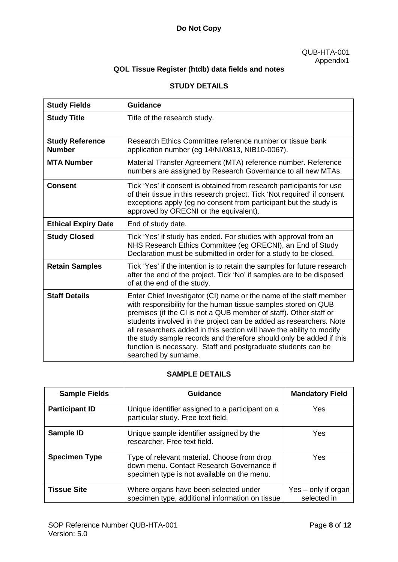# **QOL Tissue Register (htdb) data fields and notes**

# **STUDY DETAILS**

| <b>Study Fields</b>                     | <b>Guidance</b>                                                                                                                                                                                                                                                                                                                                                                                                                                                                                                          |
|-----------------------------------------|--------------------------------------------------------------------------------------------------------------------------------------------------------------------------------------------------------------------------------------------------------------------------------------------------------------------------------------------------------------------------------------------------------------------------------------------------------------------------------------------------------------------------|
| <b>Study Title</b>                      | Title of the research study.                                                                                                                                                                                                                                                                                                                                                                                                                                                                                             |
| <b>Study Reference</b><br><b>Number</b> | Research Ethics Committee reference number or tissue bank<br>application number (eq 14/NI/0813, NIB10-0067).                                                                                                                                                                                                                                                                                                                                                                                                             |
| <b>MTA Number</b>                       | Material Transfer Agreement (MTA) reference number. Reference<br>numbers are assigned by Research Governance to all new MTAs.                                                                                                                                                                                                                                                                                                                                                                                            |
| <b>Consent</b>                          | Tick 'Yes' if consent is obtained from research participants for use<br>of their tissue in this research project. Tick 'Not required' if consent<br>exceptions apply (eg no consent from participant but the study is<br>approved by ORECNI or the equivalent).                                                                                                                                                                                                                                                          |
| <b>Ethical Expiry Date</b>              | End of study date.                                                                                                                                                                                                                                                                                                                                                                                                                                                                                                       |
| <b>Study Closed</b>                     | Tick 'Yes' if study has ended. For studies with approval from an<br>NHS Research Ethics Committee (eg ORECNI), an End of Study<br>Declaration must be submitted in order for a study to be closed.                                                                                                                                                                                                                                                                                                                       |
| <b>Retain Samples</b>                   | Tick 'Yes' if the intention is to retain the samples for future research<br>after the end of the project. Tick 'No' if samples are to be disposed<br>of at the end of the study.                                                                                                                                                                                                                                                                                                                                         |
| <b>Staff Details</b>                    | Enter Chief Investigator (CI) name or the name of the staff member<br>with responsibility for the human tissue samples stored on QUB<br>premises (if the CI is not a QUB member of staff). Other staff or<br>students involved in the project can be added as researchers. Note<br>all researchers added in this section will have the ability to modify<br>the study sample records and therefore should only be added if this<br>function is necessary. Staff and postgraduate students can be<br>searched by surname. |

# **SAMPLE DETAILS**

| <b>Sample Fields</b>  | <b>Guidance</b>                                                                                                                         | <b>Mandatory Field</b>             |
|-----------------------|-----------------------------------------------------------------------------------------------------------------------------------------|------------------------------------|
| <b>Participant ID</b> | Unique identifier assigned to a participant on a<br>particular study. Free text field.                                                  | Yes                                |
| Sample ID             | Unique sample identifier assigned by the<br>researcher. Free text field.                                                                | Yes.                               |
| <b>Specimen Type</b>  | Type of relevant material. Choose from drop<br>down menu. Contact Research Governance if<br>specimen type is not available on the menu. | Yes.                               |
| <b>Tissue Site</b>    | Where organs have been selected under<br>specimen type, additional information on tissue                                                | Yes – only if organ<br>selected in |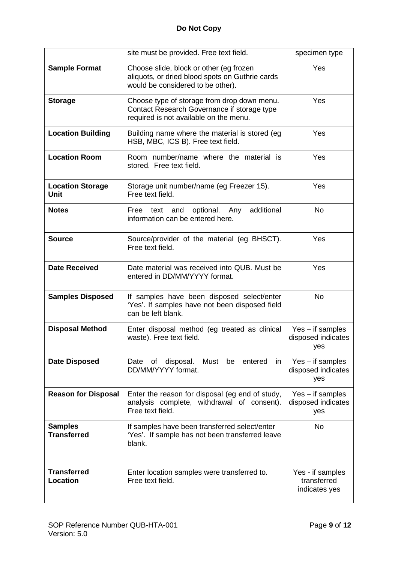|                                        | site must be provided. Free text field.                                                                                              | specimen type                                    |
|----------------------------------------|--------------------------------------------------------------------------------------------------------------------------------------|--------------------------------------------------|
| <b>Sample Format</b>                   | Choose slide, block or other (eg frozen<br>aliquots, or dried blood spots on Guthrie cards<br>would be considered to be other).      | Yes                                              |
| <b>Storage</b>                         | Choose type of storage from drop down menu.<br>Contact Research Governance if storage type<br>required is not available on the menu. | Yes                                              |
| <b>Location Building</b>               | Building name where the material is stored (eg)<br>HSB, MBC, ICS B). Free text field.                                                | Yes                                              |
| <b>Location Room</b>                   | Room number/name where the material is<br>stored. Free text field.                                                                   | Yes                                              |
| <b>Location Storage</b><br><b>Unit</b> | Storage unit number/name (eg Freezer 15).<br>Free text field.                                                                        | Yes                                              |
| <b>Notes</b>                           | additional<br>optional.<br>Free<br>and<br>Any<br>text<br>information can be entered here.                                            | <b>No</b>                                        |
| <b>Source</b>                          | Source/provider of the material (eg BHSCT).<br>Free text field.                                                                      | Yes                                              |
| <b>Date Received</b>                   | Date material was received into QUB. Must be<br>entered in DD/MM/YYYY format.                                                        | Yes                                              |
| <b>Samples Disposed</b>                | If samples have been disposed select/enter<br>'Yes'. If samples have not been disposed field<br>can be left blank.                   | <b>No</b>                                        |
| <b>Disposal Method</b>                 | Enter disposal method (eg treated as clinical<br>waste). Free text field.                                                            | $Yes - if samples$<br>disposed indicates<br>yes  |
| <b>Date Disposed</b>                   | Date of disposal.<br>Must be entered<br>in<br>DD/MM/YYYY format.                                                                     | $Yes - if samples$<br>disposed indicates<br>yes  |
| <b>Reason for Disposal</b>             | Enter the reason for disposal (eg end of study,<br>analysis complete, withdrawal of consent).<br>Free text field.                    | $Yes - if samples$<br>disposed indicates<br>yes  |
| <b>Samples</b><br><b>Transferred</b>   | If samples have been transferred select/enter<br>'Yes'. If sample has not been transferred leave<br>blank.                           | <b>No</b>                                        |
| <b>Transferred</b><br><b>Location</b>  | Enter location samples were transferred to.<br>Free text field.                                                                      | Yes - if samples<br>transferred<br>indicates yes |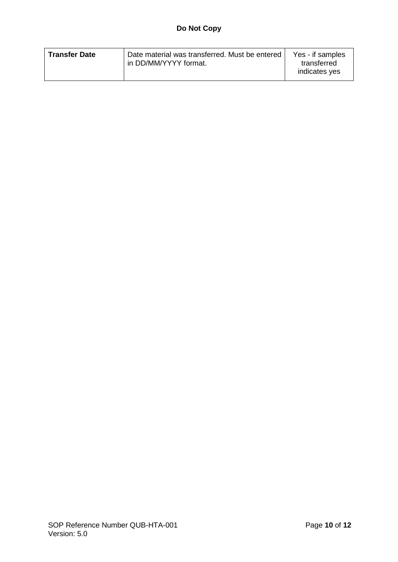|  | <b>Transfer Date</b> | Date material was transferred. Must be entered<br>In DD/MM/YYYY format. | Yes - if samples<br>transferred<br>indicates yes |
|--|----------------------|-------------------------------------------------------------------------|--------------------------------------------------|
|--|----------------------|-------------------------------------------------------------------------|--------------------------------------------------|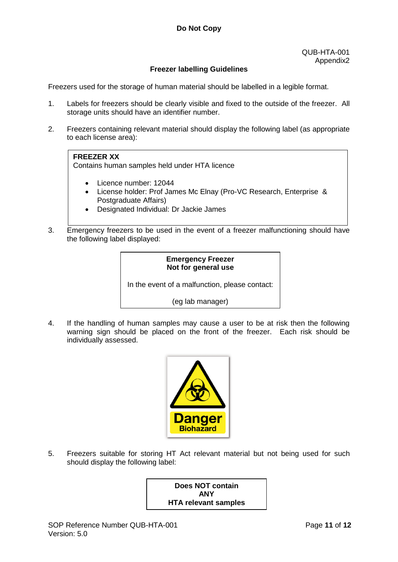# **Freezer labelling Guidelines**

Freezers used for the storage of human material should be labelled in a legible format.

- 1. Labels for freezers should be clearly visible and fixed to the outside of the freezer. All storage units should have an identifier number.
- 2. Freezers containing relevant material should display the following label (as appropriate to each license area):

# **FREEZER XX**

Contains human samples held under HTA licence

- Licence number: 12044
- License holder: Prof James Mc Elnay (Pro-VC Research, Enterprise & Postgraduate Affairs)
- Designated Individual: Dr Jackie James
- 3. Emergency freezers to be used in the event of a freezer malfunctioning should have the following label displayed:

# **Emergency Freezer Not for general use**

In the event of a malfunction, please contact:

(eg lab manager)

4. If the handling of human samples may cause a user to be at risk then the following warning sign should be placed on the front of the freezer. Each risk should be individually assessed.



5. Freezers suitable for storing HT Act relevant material but not being used for such should display the following label:

> **Does NOT contain ANY HTA relevant samples**